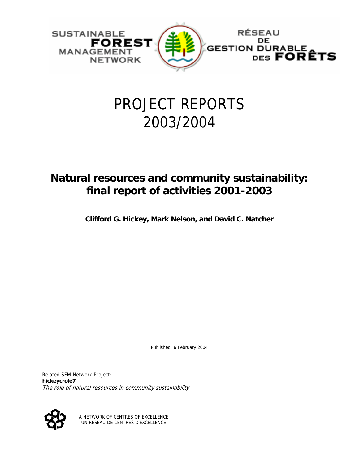

# PROJECT REPORTS 2003/2004

# **Natural resources and community sustainability: final report of activities 2001-2003**

**Clifford G. Hickey, Mark Nelson, and David C. Natcher** 

Published: 6 February 2004

Related SFM Network Project: **hickeycrole7** The role of natural resources in community sustainability



A NETWORK OF CENTRES OF EXCELLENCE UN RÉSEAU DE CENTRES D'EXCELLENCE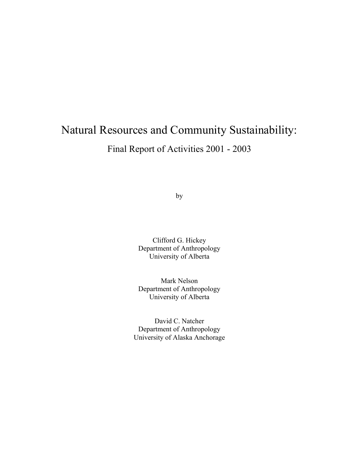# Natural Resources and Community Sustainability:

Final Report of Activities 2001 - 2003

by

Clifford G. Hickey Department of Anthropology University of Alberta

Mark Nelson Department of Anthropology University of Alberta

David C. Natcher Department of Anthropology University of Alaska Anchorage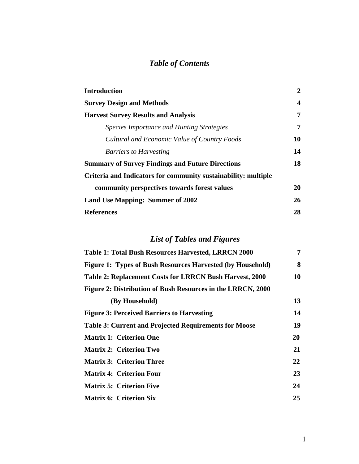## *Table of Contents*

| <b>Introduction</b>                                            | $\overline{2}$ |
|----------------------------------------------------------------|----------------|
| <b>Survey Design and Methods</b>                               | 4              |
| <b>Harvest Survey Results and Analysis</b>                     | 7              |
| Species Importance and Hunting Strategies                      | 7              |
| Cultural and Economic Value of Country Foods                   | 10             |
| <b>Barriers to Harvesting</b>                                  | 14             |
| <b>Summary of Survey Findings and Future Directions</b>        | 18             |
| Criteria and Indicators for community sustainability: multiple |                |
| community perspectives towards forest values                   | 20             |
| Land Use Mapping: Summer of 2002                               | 26             |
| <b>References</b>                                              | 28             |

## *List of Tables and Figures*

| <b>Table 1: Total Bush Resources Harvested, LRRCN 2000</b>        | 7  |
|-------------------------------------------------------------------|----|
| <b>Figure 1: Types of Bush Resources Harvested (by Household)</b> | 8  |
| Table 2: Replacement Costs for LRRCN Bush Harvest, 2000           | 10 |
| Figure 2: Distribution of Bush Resources in the LRRCN, 2000       |    |
| (By Household)                                                    | 13 |
| <b>Figure 3: Perceived Barriers to Harvesting</b>                 | 14 |
| <b>Table 3: Current and Projected Requirements for Moose</b>      | 19 |
| <b>Matrix 1: Criterion One</b>                                    | 20 |
| <b>Matrix 2: Criterion Two</b>                                    | 21 |
| <b>Matrix 3: Criterion Three</b>                                  | 22 |
| <b>Matrix 4: Criterion Four</b>                                   | 23 |
| <b>Matrix 5: Criterion Five</b>                                   | 24 |
| <b>Matrix 6: Criterion Six</b>                                    | 25 |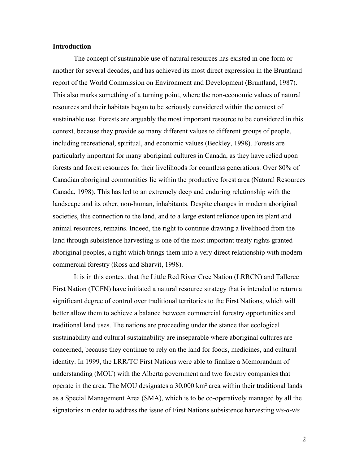#### **Introduction**

The concept of sustainable use of natural resources has existed in one form or another for several decades, and has achieved its most direct expression in the Bruntland report of the World Commission on Environment and Development (Bruntland, 1987). This also marks something of a turning point, where the non-economic values of natural resources and their habitats began to be seriously considered within the context of sustainable use. Forests are arguably the most important resource to be considered in this context, because they provide so many different values to different groups of people, including recreational, spiritual, and economic values (Beckley, 1998). Forests are particularly important for many aboriginal cultures in Canada, as they have relied upon forests and forest resources for their livelihoods for countless generations. Over 80% of Canadian aboriginal communities lie within the productive forest area (Natural Resources Canada, 1998). This has led to an extremely deep and enduring relationship with the landscape and its other, non-human, inhabitants. Despite changes in modern aboriginal societies, this connection to the land, and to a large extent reliance upon its plant and animal resources, remains. Indeed, the right to continue drawing a livelihood from the land through subsistence harvesting is one of the most important treaty rights granted aboriginal peoples, a right which brings them into a very direct relationship with modern commercial forestry (Ross and Sharvit, 1998).

It is in this context that the Little Red River Cree Nation (LRRCN) and Tallcree First Nation (TCFN) have initiated a natural resource strategy that is intended to return a significant degree of control over traditional territories to the First Nations, which will better allow them to achieve a balance between commercial forestry opportunities and traditional land uses. The nations are proceeding under the stance that ecological sustainability and cultural sustainability are inseparable where aboriginal cultures are concerned, because they continue to rely on the land for foods, medicines, and cultural identity. In 1999, the LRR/TC First Nations were able to finalize a Memorandum of understanding (MOU) with the Alberta government and two forestry companies that operate in the area. The MOU designates a 30,000 km² area within their traditional lands as a Special Management Area (SMA), which is to be co-operatively managed by all the signatories in order to address the issue of First Nations subsistence harvesting *vis-a-vis*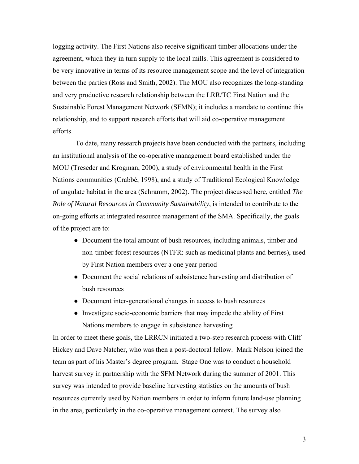logging activity. The First Nations also receive significant timber allocations under the agreement, which they in turn supply to the local mills. This agreement is considered to be very innovative in terms of its resource management scope and the level of integration between the parties (Ross and Smith, 2002). The MOU also recognizes the long-standing and very productive research relationship between the LRR/TC First Nation and the Sustainable Forest Management Network (SFMN); it includes a mandate to continue this relationship, and to support research efforts that will aid co-operative management efforts.

 To date, many research projects have been conducted with the partners, including an institutional analysis of the co-operative management board established under the MOU (Treseder and Krogman, 2000), a study of environmental health in the First Nations communities (Crabbé, 1998), and a study of Traditional Ecological Knowledge of ungulate habitat in the area (Schramm, 2002). The project discussed here, entitled *The Role of Natural Resources in Community Sustainability*, is intended to contribute to the on-going efforts at integrated resource management of the SMA. Specifically, the goals of the project are to:

- Document the total amount of bush resources, including animals, timber and non-timber forest resources (NTFR: such as medicinal plants and berries), used by First Nation members over a one year period
- Document the social relations of subsistence harvesting and distribution of bush resources
- Document inter-generational changes in access to bush resources
- Investigate socio-economic barriers that may impede the ability of First Nations members to engage in subsistence harvesting

In order to meet these goals, the LRRCN initiated a two-step research process with Cliff Hickey and Dave Natcher, who was then a post-doctoral fellow. Mark Nelson joined the team as part of his Master's degree program. Stage One was to conduct a household harvest survey in partnership with the SFM Network during the summer of 2001. This survey was intended to provide baseline harvesting statistics on the amounts of bush resources currently used by Nation members in order to inform future land-use planning in the area, particularly in the co-operative management context. The survey also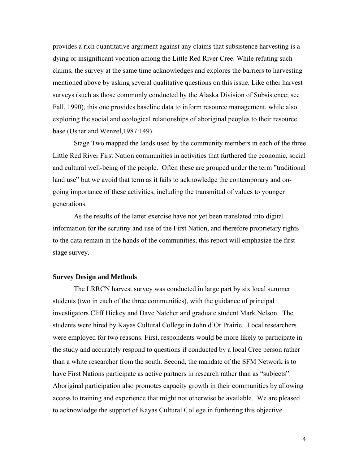provides a rich quantitative argument against any claims that subsistence harvesting is a dying or insignificant vocation among the Little Red River Cree. While refuting such claims, the survey at the same time acknowledges and explores the barriers to harvesting mentioned above by asking several qualitative questions on this issue. Like other harvest surveys (such as those commonly conducted by the Alaska Division of Subsistence; see Fall, 1990), this one provides baseline data to inform resource management, while also exploring the social and ecological relationships of aboriginal peoples to their resource base (Usher and Wenzel,1987:149).

Stage Two mapped the lands used by the community members in each of the three Little Red River First Nation communities in activities that furthered the economic, social and cultural well-being of the people. Often these are grouped under the term "traditional land use" but we avoid that term as it fails to acknowledge the contemporary and ongoing importance of these activities, including the transmittal of values to younger generations.

As the results of the latter exercise have not yet been translated into digital information for the scrutiny and use of the First Nation, and therefore proprietary rights to the data remain in the hands of the communities, this report will emphasize the first stage survey.

#### **Survey Design and Methods**

The LRRCN harvest survey was conducted in large part by six local summer students (two in each of the three communities), with the guidance of principal investigators Cliff Hickey and Dave Natcher and graduate student Mark Nelson. The students were hired by Kayas Cultural College in John d'Or Prairie. Local researchers were employed for two reasons. First, respondents would be more likely to participate in the study and accurately respond to questions if conducted by a local Cree person rather than a white researcher from the south. Second, the mandate of the SFM Network is to have First Nations participate as active partners in research rather than as "subjects". Aboriginal participation also promotes capacity growth in their communities by allowing access to training and experience that might not otherwise be available. We are pleased to acknowledge the support of Kayas Cultural College in furthering this objective.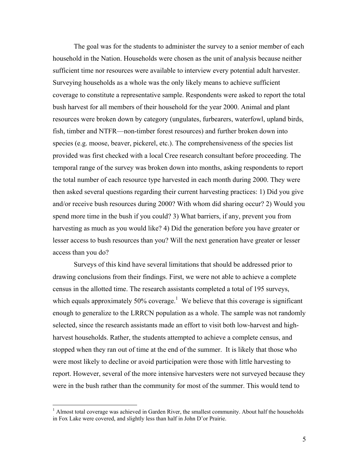The goal was for the students to administer the survey to a senior member of each household in the Nation. Households were chosen as the unit of analysis because neither sufficient time nor resources were available to interview every potential adult harvester. Surveying households as a whole was the only likely means to achieve sufficient coverage to constitute a representative sample. Respondents were asked to report the total bush harvest for all members of their household for the year 2000. Animal and plant resources were broken down by category (ungulates, furbearers, waterfowl, upland birds, fish, timber and NTFR—non-timber forest resources) and further broken down into species (e.g. moose, beaver, pickerel, etc.). The comprehensiveness of the species list provided was first checked with a local Cree research consultant before proceeding. The temporal range of the survey was broken down into months, asking respondents to report the total number of each resource type harvested in each month during 2000. They were then asked several questions regarding their current harvesting practices: 1) Did you give and/or receive bush resources during 2000? With whom did sharing occur? 2) Would you spend more time in the bush if you could? 3) What barriers, if any, prevent you from harvesting as much as you would like? 4) Did the generation before you have greater or lesser access to bush resources than you? Will the next generation have greater or lesser access than you do?

Surveys of this kind have several limitations that should be addressed prior to drawing conclusions from their findings. First, we were not able to achieve a complete census in the allotted time. The research assistants completed a total of 195 surveys, which equals approximately 50% coverage.<sup>[1](#page-6-0)</sup> We believe that this coverage is significant enough to generalize to the LRRCN population as a whole. The sample was not randomly selected, since the research assistants made an effort to visit both low-harvest and highharvest households. Rather, the students attempted to achieve a complete census, and stopped when they ran out of time at the end of the summer. It is likely that those who were most likely to decline or avoid participation were those with little harvesting to report. However, several of the more intensive harvesters were not surveyed because they were in the bush rather than the community for most of the summer. This would tend to

<span id="page-6-0"></span> 1 Almost total coverage was achieved in Garden River, the smallest community. About half the households in Fox Lake were covered, and slightly less than half in John D'or Prairie.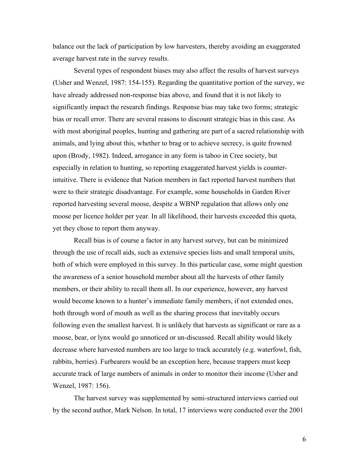balance out the lack of participation by low harvesters, thereby avoiding an exaggerated average harvest rate in the survey results.

Several types of respondent biases may also affect the results of harvest surveys (Usher and Wenzel, 1987: 154-155). Regarding the quantitative portion of the survey, we have already addressed non-response bias above, and found that it is not likely to significantly impact the research findings. Response bias may take two forms; strategic bias or recall error. There are several reasons to discount strategic bias in this case. As with most aboriginal peoples, hunting and gathering are part of a sacred relationship with animals, and lying about this, whether to brag or to achieve secrecy, is quite frowned upon (Brody, 1982). Indeed, arrogance in any form is taboo in Cree society, but especially in relation to hunting, so reporting exaggerated harvest yields is counterintuitive. There is evidence that Nation members in fact reported harvest numbers that were to their strategic disadvantage. For example, some households in Garden River reported harvesting several moose, despite a WBNP regulation that allows only one moose per licence holder per year. In all likelihood, their harvests exceeded this quota, yet they chose to report them anyway.

Recall bias is of course a factor in any harvest survey, but can be minimized through the use of recall aids, such as extensive species lists and small temporal units, both of which were employed in this survey. In this particular case, some might question the awareness of a senior household member about all the harvests of other family members, or their ability to recall them all. In our experience, however, any harvest would become known to a hunter's immediate family members, if not extended ones, both through word of mouth as well as the sharing process that inevitably occurs following even the smallest harvest. It is unlikely that harvests as significant or rare as a moose, bear, or lynx would go unnoticed or un-discussed. Recall ability would likely decrease where harvested numbers are too large to track accurately (e.g. waterfowl, fish, rabbits, berries). Furbearers would be an exception here, because trappers must keep accurate track of large numbers of animals in order to monitor their income (Usher and Wenzel, 1987: 156).

The harvest survey was supplemented by semi-structured interviews carried out by the second author, Mark Nelson. In total, 17 interviews were conducted over the 2001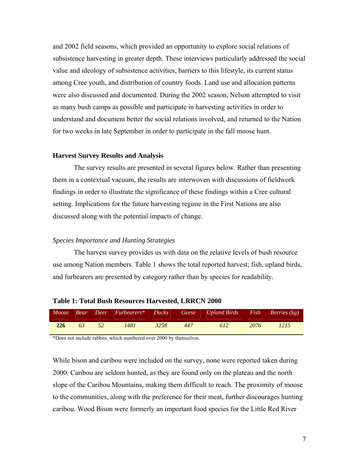and 2002 field seasons, which provided an opportunity to explore social relations of subsistence harvesting in greater depth. These interviews particularly addressed the social value and ideology of subsistence activities, barriers to this lifestyle, its current status among Cree youth, and distribution of country foods. Land use and allocation patterns were also discussed and documented. During the 2002 season, Nelson attempted to visit as many bush camps as possible and participate in harvesting activities in order to understand and document better the social relations involved, and returned to the Nation for two weeks in late September in order to participate in the fall moose hunt.

#### **Harvest Survey Results and Analysis**

The survey results are presented in several figures below. Rather than presenting them in a contextual vacuum, the results are interwoven with discussions of fieldwork findings in order to illustrate the significance of these findings within a Cree cultural setting. Implications for the future harvesting regime in the First Nations are also discussed along with the potential impacts of change.

#### *Species Importance and Hunting Strategies*

The harvest survey provides us with data on the relative levels of bush resource use among Nation members. Table 1 shows the total reported harvest; fish, upland birds, and furbearers are presented by category rather than by species for readability.

|  |  |  | Moose Bear Deer Furbearers* Ducks Geese Upland Birds Fish Berries (kg) |  |
|--|--|--|------------------------------------------------------------------------|--|
|  |  |  | 226 63 52 1481 3258 447 612 2076 1215                                  |  |

#### **Table 1: Total Bush Resources Harvested, LRRCN 2000**

\*Does not include rabbits, which numbered over 2000 by themselves.

While bison and caribou were included on the survey, none were reported taken during 2000. Caribou are seldom hunted, as they are found only on the plateau and the north slope of the Caribou Mountains, making them difficult to reach. The proximity of moose to the communities, along with the preference for their meat, further discourages hunting caribou. Wood Bison were formerly an important food species for the Little Red River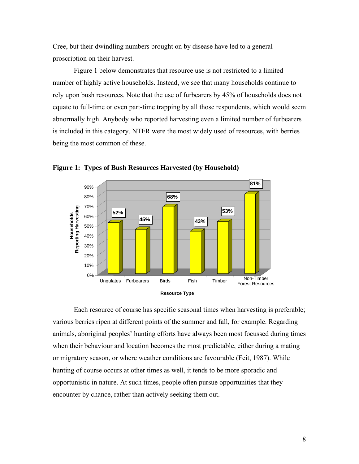Cree, but their dwindling numbers brought on by disease have led to a general proscription on their harvest.

Figure 1 below demonstrates that resource use is not restricted to a limited number of highly active households. Instead, we see that many households continue to rely upon bush resources. Note that the use of furbearers by 45% of households does not equate to full-time or even part-time trapping by all those respondents, which would seem abnormally high. Anybody who reported harvesting even a limited number of furbearers is included in this category. NTFR were the most widely used of resources, with berries being the most common of these.



**Figure 1: Types of Bush Resources Harvested (by Household)** 

Each resource of course has specific seasonal times when harvesting is preferable; various berries ripen at different points of the summer and fall, for example. Regarding animals, aboriginal peoples' hunting efforts have always been most focussed during times when their behaviour and location becomes the most predictable, either during a mating or migratory season, or where weather conditions are favourable (Feit, 1987). While hunting of course occurs at other times as well, it tends to be more sporadic and opportunistic in nature. At such times, people often pursue opportunities that they encounter by chance, rather than actively seeking them out.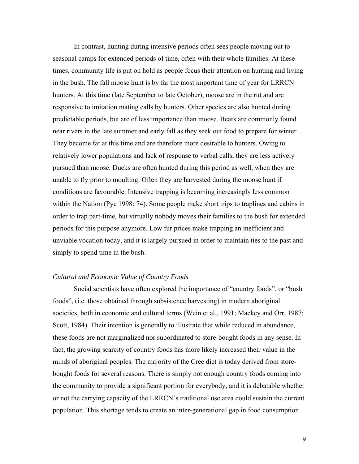In contrast, hunting during intensive periods often sees people moving out to seasonal camps for extended periods of time, often with their whole families. At these times, community life is put on hold as people focus their attention on hunting and living in the bush. The fall moose hunt is by far the most important time of year for LRRCN hunters. At this time (late September to late October), moose are in the rut and are responsive to imitation mating calls by hunters. Other species are also hunted during predictable periods, but are of less importance than moose. Bears are commonly found near rivers in the late summer and early fall as they seek out food to prepare for winter. They become fat at this time and are therefore more desirable to hunters. Owing to relatively lower populations and lack of response to verbal calls, they are less actively pursued than moose. Ducks are often hunted during this period as well, when they are unable to fly prior to moulting. Often they are harvested during the moose hunt if conditions are favourable. Intensive trapping is becoming increasingly less common within the Nation (Pyc 1998: 74). Some people make short trips to traplines and cabins in order to trap part-time, but virtually nobody moves their families to the bush for extended periods for this purpose anymore. Low fur prices make trapping an inefficient and unviable vocation today, and it is largely pursued in order to maintain ties to the past and simply to spend time in the bush.

#### *Cultural and Economic Value of Country Foods*

Social scientists have often explored the importance of "country foods", or "bush foods", (i.e. those obtained through subsistence harvesting) in modern aboriginal societies, both in economic and cultural terms (Wein et al., 1991; Mackey and Orr, 1987; Scott, 1984). Their intention is generally to illustrate that while reduced in abundance, these foods are not marginalized nor subordinated to store-bought foods in any sense. In fact, the growing scarcity of country foods has more likely increased their value in the minds of aboriginal peoples. The majority of the Cree diet is today derived from storebought foods for several reasons. There is simply not enough country foods coming into the community to provide a significant portion for everybody, and it is debatable whether or not the carrying capacity of the LRRCN's traditional use area could sustain the current population. This shortage tends to create an inter-generational gap in food consumption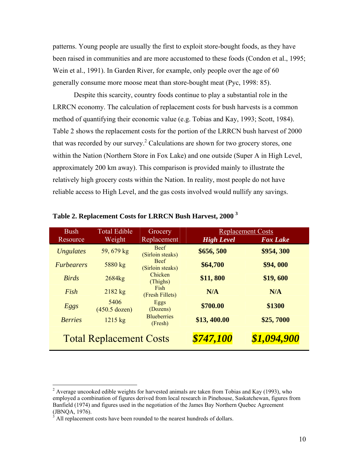patterns. Young people are usually the first to exploit store-bought foods, as they have been raised in communities and are more accustomed to these foods (Condon et al., 1995; Wein et al., 1991). In Garden River, for example, only people over the age of 60 generally consume more moose meat than store-bought meat (Pyc, 1998: 85).

Despite this scarcity, country foods continue to play a substantial role in the LRRCN economy. The calculation of replacement costs for bush harvests is a common method of quantifying their economic value (e.g. Tobias and Kay, 1993; Scott, 1984). Table 2 shows the replacement costs for the portion of the LRRCN bush harvest of 2000 that was recorded by our survey.<sup>[2](#page-11-0)</sup> Calculations are shown for two grocery stores, one within the Nation (Northern Store in Fox Lake) and one outside (Super A in High Level, approximately 200 km away). This comparison is provided mainly to illustrate the relatively high grocery costs within the Nation. In reality, most people do not have reliable access to High Level, and the gas costs involved would nullify any savings.

| <b>Bush</b><br>Resource  | <b>Total Edible</b><br>Weight  | Grocery<br>Replacement          | <b>High Level</b> | <b>Replacement Costs</b><br><b>Fox Lake</b> |
|--------------------------|--------------------------------|---------------------------------|-------------------|---------------------------------------------|
| <b>Ungulates</b>         | 59, 679 kg                     | <b>Beef</b><br>(Sirloin steaks) | \$656,500         | \$954,300                                   |
| <i><b>Furbearers</b></i> | 5880 kg                        | <b>Beef</b><br>(Sirloin steaks) | \$64,700          | \$94,000                                    |
| <b>Birds</b>             | 2684kg                         | Chicken<br>(Thighs)             | \$11,800          | \$19,600                                    |
| Fish                     | $2182$ kg                      | Fish<br>(Fresh Fillets)         | N/A               | N/A                                         |
| Eggs                     | 5406<br>$(450.5$ dozen)        | Eggs<br>(Dozens)                | \$700.00          | \$1300                                      |
| <b>Berries</b>           | $1215$ kg                      | <b>Blueberries</b><br>(Fresh)   | \$13,400.00       | \$25,7000                                   |
|                          | <b>Total Replacement Costs</b> |                                 | \$747,100         | \$1,094,900                                 |

## **Table 2. Replacement Costs for LRRCN Bush Harvest, 2000 [3](#page-11-1)**

 $\overline{a}$ 

<span id="page-11-0"></span><sup>&</sup>lt;sup>2</sup> Average uncooked edible weights for harvested animals are taken from Tobias and Kay (1993), who employed a combination of figures derived from local research in Pinehouse, Saskatchewan, figures from Banfield (1974) and figures used in the negotiation of the James Bay Northern Quebec Agreement (JBNQA, 1976). 3

<span id="page-11-1"></span>All replacement costs have been rounded to the nearest hundreds of dollars.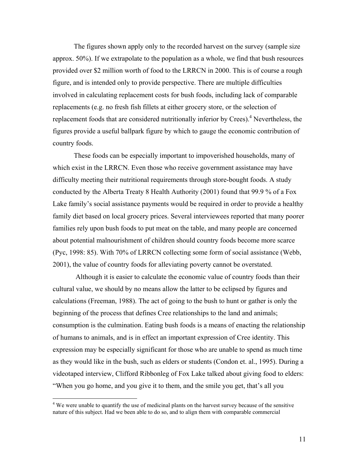The figures shown apply only to the recorded harvest on the survey (sample size approx. 50%). If we extrapolate to the population as a whole, we find that bush resources provided over \$2 million worth of food to the LRRCN in 2000. This is of course a rough figure, and is intended only to provide perspective. There are multiple difficulties involved in calculating replacement costs for bush foods, including lack of comparable replacements (e.g. no fresh fish fillets at either grocery store, or the selection of replacement foods that are considered nutritionally inferior by Crees).<sup>[4](#page-12-0)</sup> Nevertheless, the figures provide a useful ballpark figure by which to gauge the economic contribution of country foods.

These foods can be especially important to impoverished households, many of which exist in the LRRCN. Even those who receive government assistance may have difficulty meeting their nutritional requirements through store-bought foods. A study conducted by the Alberta Treaty 8 Health Authority (2001) found that 99.9 % of a Fox Lake family's social assistance payments would be required in order to provide a healthy family diet based on local grocery prices. Several interviewees reported that many poorer families rely upon bush foods to put meat on the table, and many people are concerned about potential malnourishment of children should country foods become more scarce (Pyc, 1998: 85). With 70% of LRRCN collecting some form of social assistance (Webb, 2001), the value of country foods for alleviating poverty cannot be overstated.

 Although it is easier to calculate the economic value of country foods than their cultural value, we should by no means allow the latter to be eclipsed by figures and calculations (Freeman, 1988). The act of going to the bush to hunt or gather is only the beginning of the process that defines Cree relationships to the land and animals; consumption is the culmination. Eating bush foods is a means of enacting the relationship of humans to animals, and is in effect an important expression of Cree identity. This expression may be especially significant for those who are unable to spend as much time as they would like in the bush, such as elders or students (Condon et. al., 1995). During a videotaped interview, Clifford Ribbonleg of Fox Lake talked about giving food to elders: "When you go home, and you give it to them, and the smile you get, that's all you

 $\overline{a}$ 

<span id="page-12-0"></span><sup>&</sup>lt;sup>4</sup> We were unable to quantify the use of medicinal plants on the harvest survey because of the sensitive nature of this subject. Had we been able to do so, and to align them with comparable commercial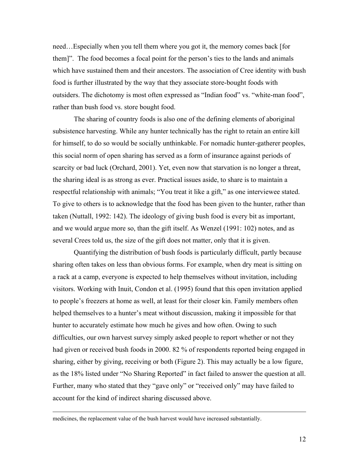need…Especially when you tell them where you got it, the memory comes back [for them]". The food becomes a focal point for the person's ties to the lands and animals which have sustained them and their ancestors. The association of Cree identity with bush food is further illustrated by the way that they associate store-bought foods with outsiders. The dichotomy is most often expressed as "Indian food" vs. "white-man food", rather than bush food vs. store bought food.

The sharing of country foods is also one of the defining elements of aboriginal subsistence harvesting. While any hunter technically has the right to retain an entire kill for himself, to do so would be socially unthinkable. For nomadic hunter-gatherer peoples, this social norm of open sharing has served as a form of insurance against periods of scarcity or bad luck (Orchard, 2001). Yet, even now that starvation is no longer a threat, the sharing ideal is as strong as ever. Practical issues aside, to share is to maintain a respectful relationship with animals; "You treat it like a gift," as one interviewee stated. To give to others is to acknowledge that the food has been given to the hunter, rather than taken (Nuttall, 1992: 142). The ideology of giving bush food is every bit as important, and we would argue more so, than the gift itself. As Wenzel (1991: 102) notes, and as several Crees told us, the size of the gift does not matter, only that it is given.

Quantifying the distribution of bush foods is particularly difficult, partly because sharing often takes on less than obvious forms. For example, when dry meat is sitting on a rack at a camp, everyone is expected to help themselves without invitation, including visitors. Working with Inuit, Condon et al. (1995) found that this open invitation applied to people's freezers at home as well, at least for their closer kin. Family members often helped themselves to a hunter's meat without discussion, making it impossible for that hunter to accurately estimate how much he gives and how often. Owing to such difficulties, our own harvest survey simply asked people to report whether or not they had given or received bush foods in 2000. 82 % of respondents reported being engaged in sharing, either by giving, receiving or both (Figure 2). This may actually be a low figure, as the 18% listed under "No Sharing Reported" in fact failed to answer the question at all. Further, many who stated that they "gave only" or "received only" may have failed to account for the kind of indirect sharing discussed above.

medicines, the replacement value of the bush harvest would have increased substantially.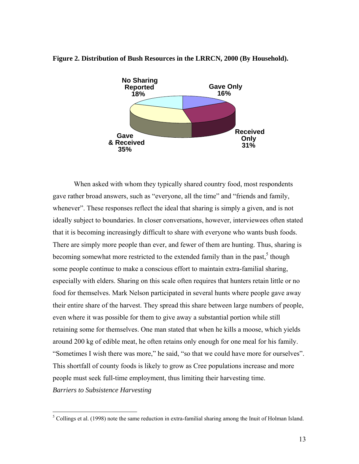

#### **Figure 2. Distribution of Bush Resources in the LRRCN, 2000 (By Household).**

When asked with whom they typically shared country food, most respondents gave rather broad answers, such as "everyone, all the time" and "friends and family, whenever". These responses reflect the ideal that sharing is simply a given, and is not ideally subject to boundaries. In closer conversations, however, interviewees often stated that it is becoming increasingly difficult to share with everyone who wants bush foods. There are simply more people than ever, and fewer of them are hunting. Thus, sharing is becoming somewhat more restricted to the extended family than in the past,<sup>[5](#page-14-0)</sup> though some people continue to make a conscious effort to maintain extra-familial sharing, especially with elders. Sharing on this scale often requires that hunters retain little or no food for themselves. Mark Nelson participated in several hunts where people gave away their entire share of the harvest. They spread this share between large numbers of people, even where it was possible for them to give away a substantial portion while still retaining some for themselves. One man stated that when he kills a moose, which yields around 200 kg of edible meat, he often retains only enough for one meal for his family. "Sometimes I wish there was more," he said, "so that we could have more for ourselves". This shortfall of county foods is likely to grow as Cree populations increase and more people must seek full-time employment, thus limiting their harvesting time. *Barriers to Subsistence Harvesting* 

 $\overline{a}$ 

<span id="page-14-0"></span> $<sup>5</sup>$  Collings et al. (1998) note the same reduction in extra-familial sharing among the Inuit of Holman Island.</sup>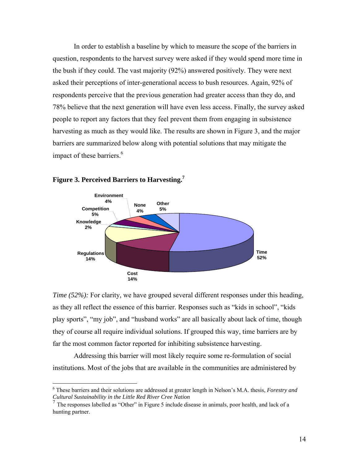In order to establish a baseline by which to measure the scope of the barriers in question, respondents to the harvest survey were asked if they would spend more time in the bush if they could. The vast majority (92%) answered positively. They were next asked their perceptions of inter-generational access to bush resources. Again, 92% of respondents perceive that the previous generation had greater access than they do, and 78% believe that the next generation will have even less access. Finally, the survey asked people to report any factors that they feel prevent them from engaging in subsistence harvesting as much as they would like. The results are shown in Figure 3, and the major barriers are summarized below along with potential solutions that may mitigate the impact of these barriers.<sup>6</sup>



#### **Figure 3. Perceived Barriers to Harvesting[.7](#page-15-1)**

*Time (52%):* For clarity, we have grouped several different responses under this heading, as they all reflect the essence of this barrier. Responses such as "kids in school", "kids play sports", "my job", and "husband works" are all basically about lack of time, though they of course all require individual solutions. If grouped this way, time barriers are by far the most common factor reported for inhibiting subsistence harvesting.

Addressing this barrier will most likely require some re-formulation of social institutions. Most of the jobs that are available in the communities are administered by

<span id="page-15-0"></span> 6 These barriers and their solutions are addressed at greater length in Nelson's M.A. thesis, *Forestry and Cultural Sustainability in the Little Red River Cree Nation*

<span id="page-15-1"></span><sup>7</sup> The responses labelled as "Other" in Figure 5 include disease in animals, poor health, and lack of a hunting partner.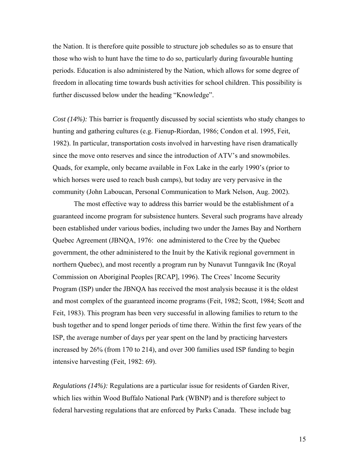the Nation. It is therefore quite possible to structure job schedules so as to ensure that those who wish to hunt have the time to do so, particularly during favourable hunting periods. Education is also administered by the Nation, which allows for some degree of freedom in allocating time towards bush activities for school children. This possibility is further discussed below under the heading "Knowledge".

*Cost (14%):* This barrier is frequently discussed by social scientists who study changes to hunting and gathering cultures (e.g. Fienup-Riordan, 1986; Condon et al. 1995, Feit, 1982). In particular, transportation costs involved in harvesting have risen dramatically since the move onto reserves and since the introduction of ATV's and snowmobiles. Quads, for example, only became available in Fox Lake in the early 1990's (prior to which horses were used to reach bush camps), but today are very pervasive in the community (John Laboucan, Personal Communication to Mark Nelson, Aug. 2002).

The most effective way to address this barrier would be the establishment of a guaranteed income program for subsistence hunters. Several such programs have already been established under various bodies, including two under the James Bay and Northern Quebec Agreement (JBNQA, 1976: one administered to the Cree by the Quebec government, the other administered to the Inuit by the Kativik regional government in northern Quebec), and most recently a program run by Nunavut Tunngavik Inc (Royal Commission on Aboriginal Peoples [RCAP], 1996). The Crees' Income Security Program (ISP) under the JBNQA has received the most analysis because it is the oldest and most complex of the guaranteed income programs (Feit, 1982; Scott, 1984; Scott and Feit, 1983). This program has been very successful in allowing families to return to the bush together and to spend longer periods of time there. Within the first few years of the ISP, the average number of days per year spent on the land by practicing harvesters increased by 26% (from 170 to 214), and over 300 families used ISP funding to begin intensive harvesting (Feit, 1982: 69).

*Regulations (14%):* Regulations are a particular issue for residents of Garden River, which lies within Wood Buffalo National Park (WBNP) and is therefore subject to federal harvesting regulations that are enforced by Parks Canada. These include bag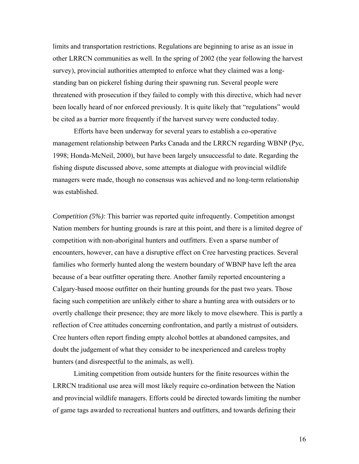limits and transportation restrictions. Regulations are beginning to arise as an issue in other LRRCN communities as well. In the spring of 2002 (the year following the harvest survey), provincial authorities attempted to enforce what they claimed was a longstanding ban on pickerel fishing during their spawning run. Several people were threatened with prosecution if they failed to comply with this directive, which had never been locally heard of nor enforced previously. It is quite likely that "regulations" would be cited as a barrier more frequently if the harvest survey were conducted today.

Efforts have been underway for several years to establish a co-operative management relationship between Parks Canada and the LRRCN regarding WBNP (Pyc, 1998; Honda-McNeil, 2000), but have been largely unsuccessful to date. Regarding the fishing dispute discussed above, some attempts at dialogue with provincial wildlife managers were made, though no consensus was achieved and no long-term relationship was established.

*Competition (5%):* This barrier was reported quite infrequently. Competition amongst Nation members for hunting grounds is rare at this point, and there is a limited degree of competition with non-aboriginal hunters and outfitters. Even a sparse number of encounters, however, can have a disruptive effect on Cree harvesting practices. Several families who formerly hunted along the western boundary of WBNP have left the area because of a bear outfitter operating there. Another family reported encountering a Calgary-based moose outfitter on their hunting grounds for the past two years. Those facing such competition are unlikely either to share a hunting area with outsiders or to overtly challenge their presence; they are more likely to move elsewhere. This is partly a reflection of Cree attitudes concerning confrontation, and partly a mistrust of outsiders. Cree hunters often report finding empty alcohol bottles at abandoned campsites, and doubt the judgement of what they consider to be inexperienced and careless trophy hunters (and disrespectful to the animals, as well).

Limiting competition from outside hunters for the finite resources within the LRRCN traditional use area will most likely require co-ordination between the Nation and provincial wildlife managers. Efforts could be directed towards limiting the number of game tags awarded to recreational hunters and outfitters, and towards defining their

16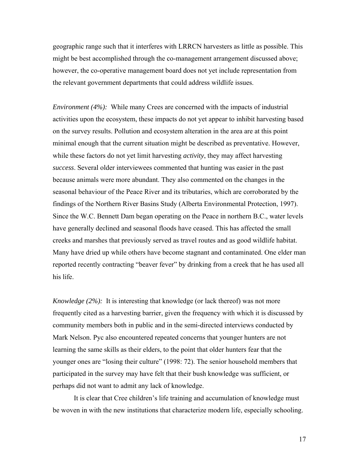geographic range such that it interferes with LRRCN harvesters as little as possible. This might be best accomplished through the co-management arrangement discussed above; however, the co-operative management board does not yet include representation from the relevant government departments that could address wildlife issues.

*Environment (4%):* While many Crees are concerned with the impacts of industrial activities upon the ecosystem, these impacts do not yet appear to inhibit harvesting based on the survey results. Pollution and ecosystem alteration in the area are at this point minimal enough that the current situation might be described as preventative. However, while these factors do not yet limit harvesting *activity*, they may affect harvesting *success*. Several older interviewees commented that hunting was easier in the past because animals were more abundant. They also commented on the changes in the seasonal behaviour of the Peace River and its tributaries, which are corroborated by the findings of the Northern River Basins Study (Alberta Environmental Protection, 1997). Since the W.C. Bennett Dam began operating on the Peace in northern B.C., water levels have generally declined and seasonal floods have ceased. This has affected the small creeks and marshes that previously served as travel routes and as good wildlife habitat. Many have dried up while others have become stagnant and contaminated. One elder man reported recently contracting "beaver fever" by drinking from a creek that he has used all his life.

*Knowledge (2%):* It is interesting that knowledge (or lack thereof) was not more frequently cited as a harvesting barrier, given the frequency with which it is discussed by community members both in public and in the semi-directed interviews conducted by Mark Nelson. Pyc also encountered repeated concerns that younger hunters are not learning the same skills as their elders, to the point that older hunters fear that the younger ones are "losing their culture" (1998: 72). The senior household members that participated in the survey may have felt that their bush knowledge was sufficient, or perhaps did not want to admit any lack of knowledge.

It is clear that Cree children's life training and accumulation of knowledge must be woven in with the new institutions that characterize modern life, especially schooling.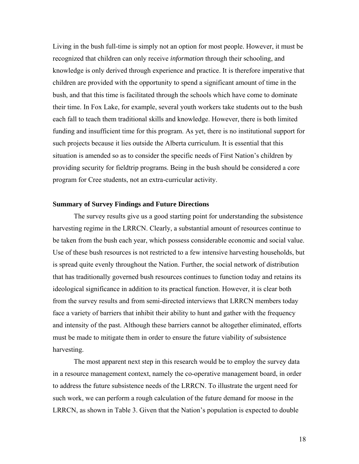Living in the bush full-time is simply not an option for most people. However, it must be recognized that children can only receive *information* through their schooling, and knowledge is only derived through experience and practice. It is therefore imperative that children are provided with the opportunity to spend a significant amount of time in the bush, and that this time is facilitated through the schools which have come to dominate their time. In Fox Lake, for example, several youth workers take students out to the bush each fall to teach them traditional skills and knowledge. However, there is both limited funding and insufficient time for this program. As yet, there is no institutional support for such projects because it lies outside the Alberta curriculum. It is essential that this situation is amended so as to consider the specific needs of First Nation's children by providing security for fieldtrip programs. Being in the bush should be considered a core program for Cree students, not an extra-curricular activity.

#### **Summary of Survey Findings and Future Directions**

The survey results give us a good starting point for understanding the subsistence harvesting regime in the LRRCN. Clearly, a substantial amount of resources continue to be taken from the bush each year, which possess considerable economic and social value. Use of these bush resources is not restricted to a few intensive harvesting households, but is spread quite evenly throughout the Nation. Further, the social network of distribution that has traditionally governed bush resources continues to function today and retains its ideological significance in addition to its practical function. However, it is clear both from the survey results and from semi-directed interviews that LRRCN members today face a variety of barriers that inhibit their ability to hunt and gather with the frequency and intensity of the past. Although these barriers cannot be altogether eliminated, efforts must be made to mitigate them in order to ensure the future viability of subsistence harvesting.

The most apparent next step in this research would be to employ the survey data in a resource management context, namely the co-operative management board, in order to address the future subsistence needs of the LRRCN. To illustrate the urgent need for such work, we can perform a rough calculation of the future demand for moose in the LRRCN, as shown in Table 3. Given that the Nation's population is expected to double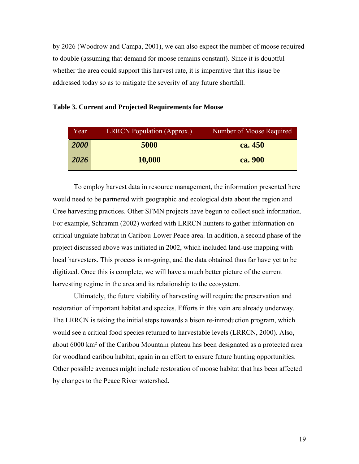by 2026 (Woodrow and Campa, 2001), we can also expect the number of moose required to double (assuming that demand for moose remains constant). Since it is doubtful whether the area could support this harvest rate, it is imperative that this issue be addressed today so as to mitigate the severity of any future shortfall.

| Year | <b>LRRCN Population (Approx.)</b> | Number of Moose Required |
|------|-----------------------------------|--------------------------|
| 2000 | 5000                              | ca. 450                  |
| 2026 | 10,000                            | ca. 900                  |

#### **Table 3. Current and Projected Requirements for Moose**

To employ harvest data in resource management, the information presented here would need to be partnered with geographic and ecological data about the region and Cree harvesting practices. Other SFMN projects have begun to collect such information. For example, Schramm (2002) worked with LRRCN hunters to gather information on critical ungulate habitat in Caribou-Lower Peace area. In addition, a second phase of the project discussed above was initiated in 2002, which included land-use mapping with local harvesters. This process is on-going, and the data obtained thus far have yet to be digitized. Once this is complete, we will have a much better picture of the current harvesting regime in the area and its relationship to the ecosystem.

Ultimately, the future viability of harvesting will require the preservation and restoration of important habitat and species. Efforts in this vein are already underway. The LRRCN is taking the initial steps towards a bison re-introduction program, which would see a critical food species returned to harvestable levels (LRRCN, 2000). Also, about 6000 km² of the Caribou Mountain plateau has been designated as a protected area for woodland caribou habitat, again in an effort to ensure future hunting opportunities. Other possible avenues might include restoration of moose habitat that has been affected by changes to the Peace River watershed.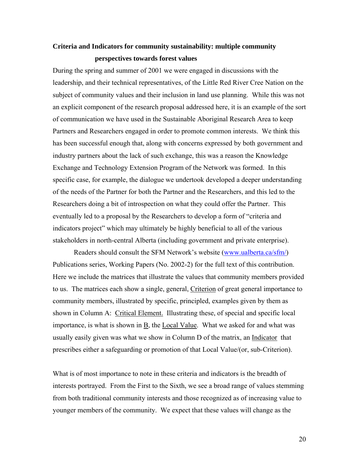## **Criteria and Indicators for community sustainability: multiple community perspectives towards forest values**

During the spring and summer of 2001 we were engaged in discussions with the leadership, and their technical representatives, of the Little Red River Cree Nation on the subject of community values and their inclusion in land use planning. While this was not an explicit component of the research proposal addressed here, it is an example of the sort of communication we have used in the Sustainable Aboriginal Research Area to keep Partners and Researchers engaged in order to promote common interests. We think this has been successful enough that, along with concerns expressed by both government and industry partners about the lack of such exchange, this was a reason the Knowledge Exchange and Technology Extension Program of the Network was formed. In this specific case, for example, the dialogue we undertook developed a deeper understanding of the needs of the Partner for both the Partner and the Researchers, and this led to the Researchers doing a bit of introspection on what they could offer the Partner. This eventually led to a proposal by the Researchers to develop a form of "criteria and indicators project" which may ultimately be highly beneficial to all of the various stakeholders in north-central Alberta (including government and private enterprise).

Readers should consult the SFM Network's website [\(www.ualberta.ca/sfm/](http://www.ualberta.ca/sfm/)) Publications series, Working Papers (No. 2002-2) for the full text of this contribution. Here we include the matrices that illustrate the values that community members provided to us. The matrices each show a single, general, Criterion of great general importance to community members, illustrated by specific, principled, examples given by them as shown in Column A: Critical Element. Illustrating these, of special and specific local importance, is what is shown in  $\underline{B}$ , the *Local Value*. What we asked for and what was usually easily given was what we show in Column D of the matrix, an Indicator that prescribes either a safeguarding or promotion of that Local Value/(or, sub-Criterion).

What is of most importance to note in these criteria and indicators is the breadth of interests portrayed. From the First to the Sixth, we see a broad range of values stemming from both traditional community interests and those recognized as of increasing value to younger members of the community. We expect that these values will change as the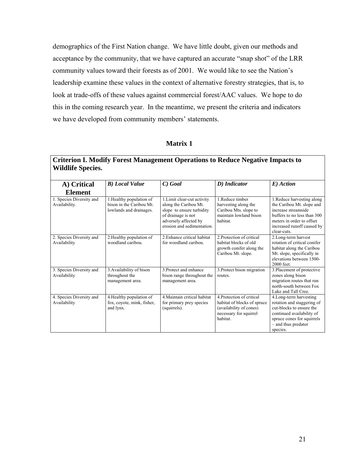demographics of the First Nation change. We have little doubt, given our methods and acceptance by the community, that we have captured an accurate "snap shot" of the LRR community values toward their forests as of 2001. We would like to see the Nation's leadership examine these values in the context of alternative forestry strategies, that is, to look at trade-offs of these values against commercial forest/AAC values. We hope to do this in the coming research year. In the meantime, we present the criteria and indicators we have developed from community members' statements.

#### **Matrix 1**

| A) Critical                                                 | <b>B</b> ) Local Value                                                          | $C)$ Goal                                                                                                                                                      | D) Indicator                                                                                                            | E) Action                                                                                                                                                                               |
|-------------------------------------------------------------|---------------------------------------------------------------------------------|----------------------------------------------------------------------------------------------------------------------------------------------------------------|-------------------------------------------------------------------------------------------------------------------------|-----------------------------------------------------------------------------------------------------------------------------------------------------------------------------------------|
| <b>Element</b><br>1. Species Diversity and<br>Availability. | 1. Healthy population of<br>bison in the Caribou Mt.<br>lowlands and drainages. | 1. Limit clear-cut activity<br>along the Caribou Mt.<br>slope to ensure turbidity<br>of drainage is not<br>adversely affected by<br>erosion and sedimentation. | 1. Reduce timber<br>harvesting along the<br>Caribou Mts. slope to<br>maintain lowland bison<br>habitat.                 | 1. Reduce harvesting along<br>the Caribou Mt. slope and<br>increase streamside<br>buffers to no less than 300<br>meters in order to offset<br>increased runoff caused by<br>clear-cuts. |
| 2. Species Diversity and<br>Availability                    | 2. Healthy population of<br>woodland caribou.                                   | 2. Enhance critical habitat<br>for woodland caribou.                                                                                                           | 2. Protection of critical<br>habitat blocks of old<br>growth conifer along the<br>Caribou Mt. slope.                    | 2. Long-term harvest<br>rotation of critical conifer<br>habitat along the Caribou<br>Mt. slope, specifically in<br>elevations between 1500-<br>2000 feet.                               |
| 3. Species Diversity and<br>Availability                    | 3. Availability of bison<br>throughout the<br>management area.                  | 3. Protect and enhance<br>bison range throughout the<br>management area.                                                                                       | 3. Protect bison migration<br>routes.                                                                                   | 3. Placement of protective<br>zones along bison<br>migration routes that run<br>north-south between Fox<br>Lake and Tall Cree.                                                          |
| 4. Species Diversity and<br>Availability                    | 4. Healthy population of<br>fox, coyote, mink, fisher,<br>and lynx.             | 4. Maintain critical habitat<br>for primary prey species<br>(squirrels).                                                                                       | 4 Protection of critical<br>habitat of blocks of spruce<br>(availability of cones)<br>necessary for squirrel<br>habitat | 4. Long-term harvesting<br>rotation and staggering of<br>cut-blocks to ensure the<br>continued availability of<br>spruce cones for squirrels<br>- and thus predator<br>species.         |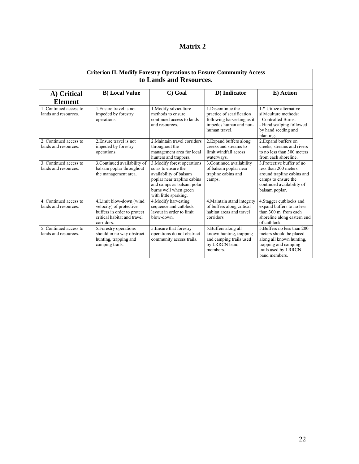### **Matrix 2**

| <b>Criterion II. Modify Forestry Operations to Ensure Community Access</b><br>to Lands and Resources. |                                                                                                                                 |                                                                                                                                                                                            |                                                                                                                          |                                                                                                                                                        |
|-------------------------------------------------------------------------------------------------------|---------------------------------------------------------------------------------------------------------------------------------|--------------------------------------------------------------------------------------------------------------------------------------------------------------------------------------------|--------------------------------------------------------------------------------------------------------------------------|--------------------------------------------------------------------------------------------------------------------------------------------------------|
| A) Critical                                                                                           | <b>B)</b> Local Value                                                                                                           | C) Goal                                                                                                                                                                                    | D) Indicator                                                                                                             | E) Action                                                                                                                                              |
| <b>Element</b>                                                                                        |                                                                                                                                 |                                                                                                                                                                                            |                                                                                                                          |                                                                                                                                                        |
| 1. Continued access to<br>lands and resources.                                                        | 1. Ensure travel is not<br>impeded by forestry<br>operations.                                                                   | 1. Modify silviculture<br>methods to ensure<br>continued access to lands<br>and resources.                                                                                                 | 1. Discontinue the<br>practice of scarification<br>following harvesting as it<br>impedes human and non-<br>human travel. | 1.* Utilize alternative<br>silviculture methods:<br>- Controlled Burns.<br>- Hand scalping followed<br>by hand seeding and<br>planting.                |
| 2. Continued access to<br>lands and resources.                                                        | 2. Ensure travel is not<br>impeded by forestry<br>operations.                                                                   | 2. Maintain travel corridors<br>throughout the<br>management area for local<br>hunters and trappers.                                                                                       | 2. Expand buffers along<br>creeks and streams to<br>limit windfall across<br>waterways.                                  | 2. Expand buffers on<br>creeks, streams and rivers<br>to no less than 300 meters<br>from each shoreline.                                               |
| 3. Continued access to<br>lands and resources.                                                        | 3. Continued availability of<br>balsam poplar throughout<br>the management area.                                                | 3. Modify forest operations<br>so as to ensure the<br>availability of balsam<br>poplar near trapline cabins<br>and camps as balsam polar<br>burns well when green<br>with little sparking. | 3. Continued availability<br>of balsam poplar near<br>trapline cabins and<br>camps.                                      | 3. Protective buffer of no<br>less than 200 meters<br>around trapline cabins and<br>camps to ensure the<br>continued availability of<br>balsam poplar. |
| 4. Continued access to<br>lands and resources.                                                        | 4. Limit blow-down (wind<br>velocity) of protective<br>buffers in order to protect<br>critical habitat and travel<br>corridors. | 4. Modify harvesting<br>sequence and cutblock<br>layout in order to limit<br>blow-down.                                                                                                    | 4. Maintain stand integrity<br>of buffers along critical<br>habitat areas and travel<br>corridors                        | 4. Stagger cutblocks and<br>expand buffers to no less<br>than 300 m. from each<br>shoreline along eastern end<br>of cutblock.                          |
| 5. Continued access to<br>lands and resources.                                                        | 5. Forestry operations<br>should in no way obstruct<br>hunting, trapping and<br>camping trails.                                 | 5. Ensure that forestry<br>operations do not obstruct<br>community access trails.                                                                                                          | 5. Buffers along all<br>known hunting, trapping<br>and camping trails used<br>by LRRCN band<br>members.                  | 5. Buffers no less than 200<br>meters should be placed<br>along all known hunting,<br>trapping and camping<br>trails used by LRRCN<br>band members.    |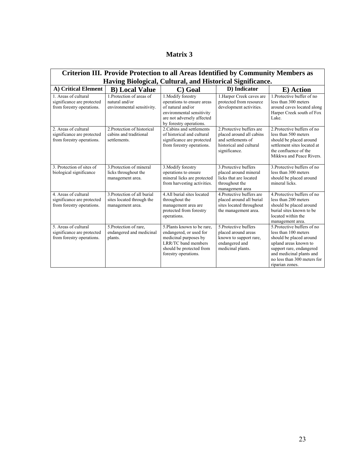| Criterion III. Provide Protection to all Areas Identified by Community Members as |                                                                              |                                                                                                                                                             |                                                                                                                         |                                                                                                                                                                                                                   |  |
|-----------------------------------------------------------------------------------|------------------------------------------------------------------------------|-------------------------------------------------------------------------------------------------------------------------------------------------------------|-------------------------------------------------------------------------------------------------------------------------|-------------------------------------------------------------------------------------------------------------------------------------------------------------------------------------------------------------------|--|
|                                                                                   | Having Biological, Cultural, and Historical Significance.                    |                                                                                                                                                             |                                                                                                                         |                                                                                                                                                                                                                   |  |
| A) Critical Element                                                               | <b>B)</b> Local Value                                                        | C) Goal                                                                                                                                                     | D) Indicator                                                                                                            | E) Action                                                                                                                                                                                                         |  |
| 1. Areas of cultural<br>significance are protected<br>from forestry operations.   | 1. Protection of areas of<br>natural and/or<br>environmental sensitivity.    | 1. Modify forestry<br>operations to ensure areas<br>of natural and/or<br>environmental sensitivity<br>are not adversely affected<br>by forestry operations. | 1. Harper Creek caves are<br>protected from resource<br>development activities.                                         | 1. Protective buffer of no<br>less than 300 meters<br>around caves located along<br>Harper Creek south of Fox<br>Lake.                                                                                            |  |
| 2. Areas of cultural<br>significance are protected<br>from forestry operations.   | 2. Protection of historical<br>cabins and traditional<br>settlements.        | 2. Cabins and settlements<br>of historical and cultural<br>significance are protected<br>from forestry operations.                                          | 2. Protective buffers are<br>placed around all cabins<br>and settlements of<br>historical and cultural<br>significance. | 2. Protective buffers of no<br>less than 500 meters<br>should be placed around<br>settlement sites located at<br>the confluence of the<br>Mikkwa and Peace Rivers.                                                |  |
| 3. Protection of sites of<br>biological significance                              | 3. Protection of mineral<br>licks throughout the<br>management area.         | 3. Modify forestry<br>operations to ensure<br>mineral licks are protected<br>from harvesting activities.                                                    | 3. Protective buffers<br>placed around mineral<br>licks that are located<br>throughout the<br>management area           | 3. Protective buffers of no<br>less than 300 meters<br>should be placed around<br>mineral licks.                                                                                                                  |  |
| 4. Areas of cultural<br>significance are protected<br>from forestry operations.   | 3. Protection of all burial<br>sites located through the<br>management area. | 4. All burial sites located<br>throughout the<br>management area are<br>protected from forestry<br>operations.                                              | 4. Protective buffers are<br>placed around all burial<br>sites located throughout<br>the management area.               | 4. Protective buffers of no<br>less than 200 meters<br>should be placed around<br>burial sites known to be<br>located within the<br>management area.                                                              |  |
| 5. Areas of cultural<br>significance are protected<br>from forestry operations.   | 5. Protection of rare.<br>endangered and medicinal<br>plants.                | 5. Plants known to be rare.<br>endangered, or used for<br>medicinal purposes by<br>LRR/TC band members<br>should be protected from<br>forestry operations.  | 5. Protective buffers<br>placed around areas<br>known to support rare,<br>endangered and<br>medicinal plants.           | 5. Protective buffers of no<br>less than 100 meters<br>should be placed around<br>upland areas known to<br>support rare, endangered<br>and medicinal plants and<br>no less than 300 meters for<br>riparian zones. |  |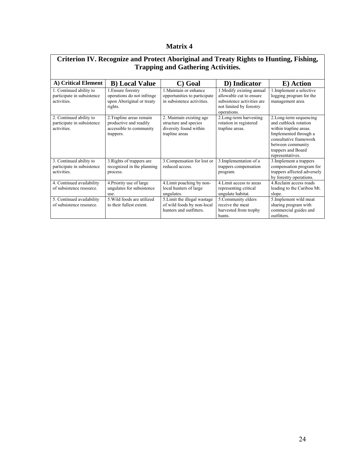### **Matrix 4**

| Criterion IV. Recognize and Protect Aboriginal and Treaty Rights to Hunting, Fishing, |                                                                                            |                                                                                               |                                                                                                                              |                                                                                                                                                                                              |  |
|---------------------------------------------------------------------------------------|--------------------------------------------------------------------------------------------|-----------------------------------------------------------------------------------------------|------------------------------------------------------------------------------------------------------------------------------|----------------------------------------------------------------------------------------------------------------------------------------------------------------------------------------------|--|
| <b>Trapping and Gathering Activities.</b>                                             |                                                                                            |                                                                                               |                                                                                                                              |                                                                                                                                                                                              |  |
| A) Critical Element                                                                   | <b>B</b> ) Local Value                                                                     | Goal<br>C)                                                                                    | D) Indicator                                                                                                                 | E) Action                                                                                                                                                                                    |  |
| 1. Continued ability to<br>participate in subsistence<br>activities.                  | 1. Ensure forestry<br>operations do not infringe<br>upon Aboriginal or treaty<br>rights.   | 1. Maintain or enhance<br>opportunities to participate<br>in subsistence activities.          | 1. Modify existing annual<br>allowable cut to ensure<br>subsistence activities are<br>not limited by forestry<br>operations. | 1. Implement a selective<br>logging program for the<br>management area.                                                                                                                      |  |
| 2. Continued ability to<br>participate in subsistence<br>activities.                  | 2. Trapline areas remain<br>productive and readily<br>accessible to community<br>trappers. | 2. Maintain existing age<br>structure and species<br>diversity found within<br>trapline areas | 2. Long-term harvesting<br>rotation in registered<br>trapline areas.                                                         | 2. Long-term sequencing<br>and cutblock rotation<br>within trapline areas.<br>Implemented through a<br>consultative framework<br>between community<br>trappers and Board<br>representatives. |  |
| 3. Continued ability to<br>participate in subsistence<br>activities.                  | 3. Rights of trappers are<br>recognized in the planning<br>process.                        | 3. Compensation for lost or<br>reduced access.                                                | 3. Implementation of a<br>trappers compensation<br>program.                                                                  | 3. Implement a trappers<br>compensation program for<br>trappers affected adversely<br>by forestry operations.                                                                                |  |
| 4. Continued availability<br>of subsistence resource.                                 | 4. Priority use of large<br>ungulates for subsistence<br>use.                              | 4. Limit poaching by non-<br>local hunters of large<br>ungulates.                             | 4. Limit access to areas<br>representing critical<br>ungulate habitat.                                                       | 4. Reclaim access roads<br>leading to the Caribou Mt.<br>slope.                                                                                                                              |  |
| 5. Continued availability<br>of subsistence resource.                                 | 5. Wild foods are utilized<br>to their fullest extent.                                     | 5. Limit the illegal wastage<br>of wild foods by non-local<br>hunters and outfitters.         | 5. Community elders<br>receive the meat<br>harvested from trophy<br>hunts.                                                   | 5. Implement wild meat<br>sharing program with<br>commercial guides and<br>outfitters.                                                                                                       |  |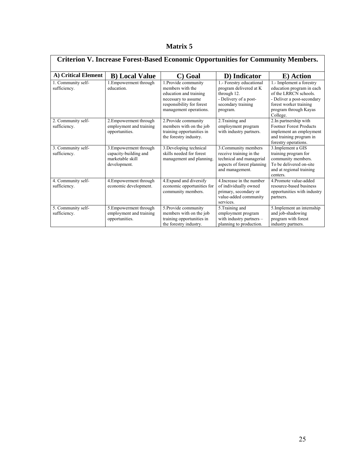| Matrix ! |  |
|----------|--|
|          |  |

| <b>Criterion V. Increase Forest-Based Economic Opportunities for Community Members.</b> |                                                                                     |                                                                                                                                                  |                                                                                                                              |                                                                                                                                                                             |  |
|-----------------------------------------------------------------------------------------|-------------------------------------------------------------------------------------|--------------------------------------------------------------------------------------------------------------------------------------------------|------------------------------------------------------------------------------------------------------------------------------|-----------------------------------------------------------------------------------------------------------------------------------------------------------------------------|--|
| A) Critical Element                                                                     | <b>B)</b> Local Value                                                               | C) Goal                                                                                                                                          | D) Indicator                                                                                                                 | E) Action                                                                                                                                                                   |  |
| 1. Community self-<br>sufficiency.                                                      | 1. Empowerment through<br>education.                                                | 1. Provide community<br>members with the<br>education and training<br>necessary to assume<br>responsibility for forest<br>management operations. | 1.- Forestry educational<br>program delivered at K<br>through 12.<br>- Delivery of a post-<br>secondary training<br>program. | 1.- Implement a forestry<br>education program in each<br>of the LRRCN schools.<br>- Deliver a post-secondary<br>forest worker training<br>program through Kayas<br>College. |  |
| 2. Community self-<br>sufficiency.                                                      | 2. Empowerment through<br>employment and training<br>opportunities.                 | 2. Provide community<br>members with on the job<br>training opportunities in<br>the forestry industry.                                           | 2. Training and<br>employment program<br>with industry partners.                                                             | 2.In partnership with<br><b>Footner Forest Products</b><br>implement an employment<br>and training program in<br>forestry operations.                                       |  |
| 3. Community self-<br>sufficiency.                                                      | 3. Empowerment through<br>capacity-building and<br>marketable skill<br>development. | 3. Developing technical<br>skills needed for forest<br>management and planning.                                                                  | 3. Community members<br>receive training in the<br>technical and managerial<br>aspects of forest planning<br>and management. | 3. Implement a GIS<br>training program for<br>community members.<br>To be delivered on-site<br>and at regional training<br>centers.                                         |  |
| 4. Community self-<br>sufficiency.                                                      | 4. Empowerment through<br>economic development.                                     | 4. Expand and diversify<br>economic opportunities for<br>community members.                                                                      | 4. Increase in the number<br>of individually owned<br>primary, secondary or<br>value-added community<br>services.            | 4. Promote value-added<br>resource-based business<br>opportunities with industry<br>partners.                                                                               |  |
| 5. Community self-<br>sufficiency.                                                      | 5. Empowerment through<br>employment and training<br>opportunities.                 | 5. Provide community<br>members with on the job<br>training opportunities in<br>the forestry industry.                                           | 5. Training and<br>employment program<br>with industry partners -<br>planning to production.                                 | 5. Implement an internship<br>and job-shadowing<br>program with forest<br>industry partners.                                                                                |  |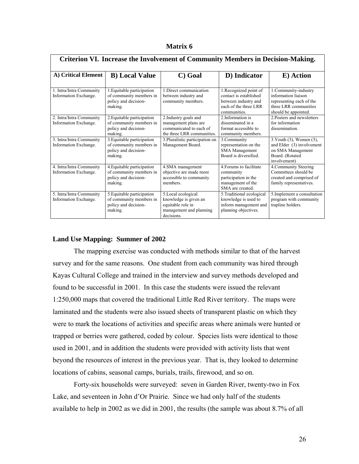| Matrix 6 |  |
|----------|--|
|          |  |

| Criterion VI. Increase the Involvement of Community Members in Decision-Making. |                                                                                          |                                                                                                            |                                                                                                                   |                                                                                                                           |
|---------------------------------------------------------------------------------|------------------------------------------------------------------------------------------|------------------------------------------------------------------------------------------------------------|-------------------------------------------------------------------------------------------------------------------|---------------------------------------------------------------------------------------------------------------------------|
| A) Critical Element                                                             | <b>B</b> ) Local Value                                                                   | C) Goal                                                                                                    | D) Indicator                                                                                                      | E) Action                                                                                                                 |
| 1. Intra/Intra Community<br>Information Exchange.                               | 1. Equitable participation<br>of community members in<br>policy and decision-<br>making. | 1. Direct communication<br>between industry and<br>community members.                                      | 1. Recognized point of<br>contact is established<br>between industry and<br>each of the three LRR<br>communities. | 1. Community-industry<br>information liaison<br>representing each of the<br>three LRR communities<br>should be appointed. |
| 2. Intra/Intra Community<br>Information Exchange.                               | 2. Equitable participation<br>of community members in<br>policy and decision-<br>making. | 2. Industry goals and<br>management plans are<br>communicated to each of<br>the three LRR communities.     | 2. Information is<br>disseminated in a<br>format accessible to<br>community members.                              | 2. Posters and newsletters<br>for information<br>dissemination.                                                           |
| 3. Intra/Intra Community<br>Information Exchange.                               | 3. Equitable participation<br>of community members in<br>policy and decision-<br>making. | 3. Pluralistic participation on<br>Management Board.                                                       | 3.Community<br>representation on the<br><b>SMA</b> Management<br>Board is diversified.                            | 3. Youth (3), Women (3),<br>and Elder (3) involvement<br>on SMA Management<br>Board. (Rotated<br>involvement)             |
| 4. Intra/Intra Community<br>Information Exchange.                               | 4. Equitable participation<br>of community members in<br>policy and decision-<br>making. | 4.SMA management<br>objective are made more<br>accessible to community<br>members.                         | 4 Forums to facilitate<br>community<br>participation in the<br>management of the<br>SMA are created.              | 4. Community Steering<br>Committees should be<br>created and comprised of<br>family representatives.                      |
| 5. Intra/Intra Community<br>Information Exchange.                               | 5. Equitable participation<br>of community members in<br>policy and decision-<br>making. | 5. Local ecological<br>knowledge is given an<br>equitable role in<br>management and planning<br>decisions. | 5. Traditional ecological<br>knowledge is used to<br>inform management and<br>planning objectives.                | 5. Implement a consultation<br>program with community<br>trapline holders.                                                |

#### **Land Use Mapping: Summer of 2002**

The mapping exercise was conducted with methods similar to that of the harvest survey and for the same reasons. One student from each community was hired through Kayas Cultural College and trained in the interview and survey methods developed and found to be successful in 2001. In this case the students were issued the relevant 1:250,000 maps that covered the traditional Little Red River territory. The maps were laminated and the students were also issued sheets of transparent plastic on which they were to mark the locations of activities and specific areas where animals were hunted or trapped or berries were gathered, coded by colour. Species lists were identical to those used in 2001, and in addition the students were provided with activity lists that went beyond the resources of interest in the previous year. That is, they looked to determine locations of cabins, seasonal camps, burials, trails, firewood, and so on.

Forty-six households were surveyed: seven in Garden River, twenty-two in Fox Lake, and seventeen in John d'Or Prairie. Since we had only half of the students available to help in 2002 as we did in 2001, the results (the sample was about 8.7% of all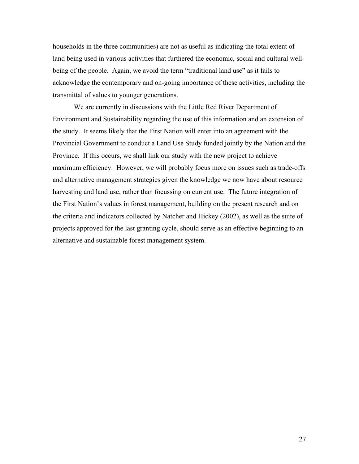households in the three communities) are not as useful as indicating the total extent of land being used in various activities that furthered the economic, social and cultural wellbeing of the people. Again, we avoid the term "traditional land use" as it fails to acknowledge the contemporary and on-going importance of these activities, including the transmittal of values to younger generations.

We are currently in discussions with the Little Red River Department of Environment and Sustainability regarding the use of this information and an extension of the study. It seems likely that the First Nation will enter into an agreement with the Provincial Government to conduct a Land Use Study funded jointly by the Nation and the Province. If this occurs, we shall link our study with the new project to achieve maximum efficiency. However, we will probably focus more on issues such as trade-offs and alternative management strategies given the knowledge we now have about resource harvesting and land use, rather than focussing on current use. The future integration of the First Nation's values in forest management, building on the present research and on the criteria and indicators collected by Natcher and Hickey (2002), as well as the suite of projects approved for the last granting cycle, should serve as an effective beginning to an alternative and sustainable forest management system.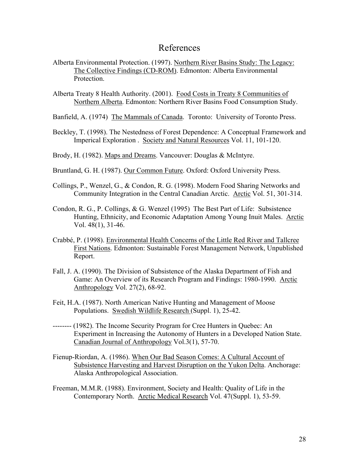## References

- Alberta Environmental Protection. (1997). Northern River Basins Study: The Legacy: The Collective Findings (CD-ROM). Edmonton: Alberta Environmental **Protection**
- Alberta Treaty 8 Health Authority. (2001). Food Costs in Treaty 8 Communities of Northern Alberta. Edmonton: Northern River Basins Food Consumption Study.
- Banfield, A. (1974) The Mammals of Canada. Toronto: University of Toronto Press.
- Beckley, T. (1998). The Nestedness of Forest Dependence: A Conceptual Framework and Imperical Exploration . Society and Natural Resources Vol. 11, 101-120.
- Brody, H. (1982). Maps and Dreams. Vancouver: Douglas & McIntyre.
- Bruntland, G. H. (1987). Our Common Future. Oxford: Oxford University Press.
- Collings, P., Wenzel, G., & Condon, R. G. (1998). Modern Food Sharing Networks and Community Integration in the Central Canadian Arctic. Arctic Vol. 51, 301-314.
- Condon, R. G., P. Collings, & G. Wenzel (1995) The Best Part of Life: Subsistence Hunting, Ethnicity, and Economic Adaptation Among Young Inuit Males. Arctic Vol. 48(1), 31-46.
- Crabbé, P. (1998). Environmental Health Concerns of the Little Red River and Tallcree First Nations. Edmonton: Sustainable Forest Management Network, Unpublished Report.
- Fall, J. A. (1990). The Division of Subsistence of the Alaska Department of Fish and Game: An Overview of its Research Program and Findings: 1980-1990. Arctic Anthropology Vol. 27(2), 68-92.
- Feit, H.A. (1987). North American Native Hunting and Management of Moose Populations. Swedish Wildlife Research (Suppl. 1), 25-42.
- -------- (1982). The Income Security Program for Cree Hunters in Quebec: An Experiment in Increasing the Autonomy of Hunters in a Developed Nation State. Canadian Journal of Anthropology Vol.3(1), 57-70.
- Fienup-Riordan, A. (1986). When Our Bad Season Comes: A Cultural Account of Subsistence Harvesting and Harvest Disruption on the Yukon Delta. Anchorage: Alaska Anthropological Association.
- Freeman, M.M.R. (1988). Environment, Society and Health: Quality of Life in the Contemporary North. Arctic Medical Research Vol. 47(Suppl. 1), 53-59.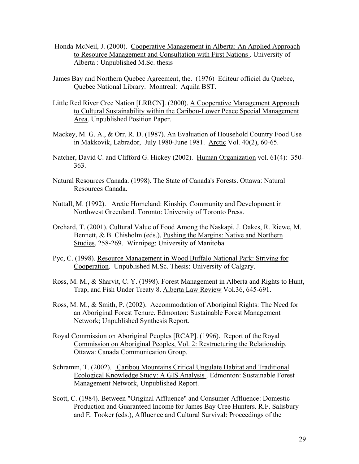- Honda-McNeil, J. (2000). Cooperative Management in Alberta: An Applied Approach to Resource Management and Consultation with First Nations . University of Alberta : Unpublished M.Sc. thesis
- James Bay and Northern Quebec Agreement, the. (1976) Editeur officiel du Quebec, Quebec National Library. Montreal: Aquila BST.
- Little Red River Cree Nation [LRRCN]. (2000). A Cooperative Management Approach to Cultural Sustainability within the Caribou-Lower Peace Special Management Area. Unpublished Position Paper.
- Mackey, M. G. A., & Orr, R. D. (1987). An Evaluation of Household Country Food Use in Makkovik, Labrador, July 1980-June 1981. Arctic Vol. 40(2), 60-65.
- Natcher, David C. and Clifford G. Hickey (2002). Human Organization vol. 61(4): 350-363.
- Natural Resources Canada. (1998). The State of Canada's Forests. Ottawa: Natural Resources Canada.
- Nuttall, M. (1992). Arctic Homeland: Kinship, Community and Development in Northwest Greenland. Toronto: University of Toronto Press.
- Orchard, T. (2001). Cultural Value of Food Among the Naskapi. J. Oakes, R. Riewe, M. Bennett, & B. Chisholm (eds.), Pushing the Margins: Native and Northern Studies, 258-269. Winnipeg: University of Manitoba.
- Pyc, C. (1998). Resource Management in Wood Buffalo National Park: Striving for Cooperation. Unpublished M.Sc. Thesis: University of Calgary.
- Ross, M. M., & Sharvit, C. Y. (1998). Forest Management in Alberta and Rights to Hunt, Trap, and Fish Under Treaty 8. Alberta Law Review Vol.36, 645-691.
- Ross, M. M., & Smith, P. (2002). Accommodation of Aboriginal Rights: The Need for an Aboriginal Forest Tenure. Edmonton: Sustainable Forest Management Network; Unpublished Synthesis Report.
- Royal Commission on Aboriginal Peoples [RCAP]. (1996). Report of the Royal Commission on Aboriginal Peoples, Vol. 2: Restructuring the Relationship. Ottawa: Canada Communication Group.
- Schramm, T. (2002). Caribou Mountains Critical Ungulate Habitat and Traditional Ecological Knowledge Study: A GIS Analysis . Edmonton: Sustainable Forest Management Network, Unpublished Report.
- Scott, C. (1984). Between "Original Affluence" and Consumer Affluence: Domestic Production and Guaranteed Income for James Bay Cree Hunters. R.F. Salisbury and E. Tooker (eds.), Affluence and Cultural Survival: Proceedings of the